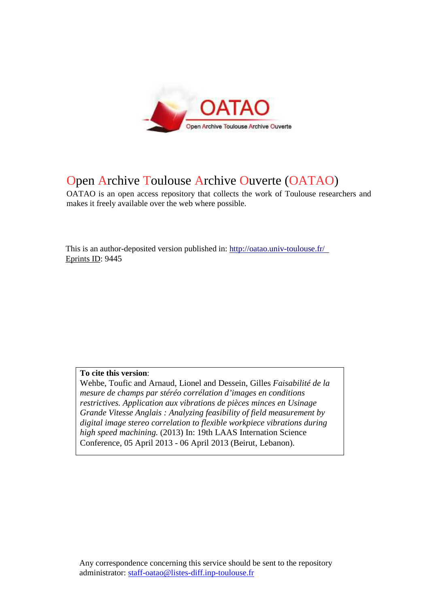

## Open Archive Toulouse Archive Ouverte (OATAO)

OATAO is an open access repository that collects the work of Toulouse researchers and makes it freely available over the web where possible.

This is an author-deposited version published in: http://oatao.univ-toulouse.fr/ Eprints ID: 9445

**To cite this version**:

Wehbe, Toufic and Arnaud, Lionel and Dessein, Gilles *Faisabilité de la mesure de champs par stéréo corrélation d'images en conditions restrictives. Application aux vibrations de pièces minces en Usinage Grande Vitesse Anglais : Analyzing feasibility of field measurement by digital image stereo correlation to flexible workpiece vibrations during high speed machining.* (2013) In: 19th LAAS Internation Science Conference, 05 April 2013 - 06 April 2013 (Beirut, Lebanon).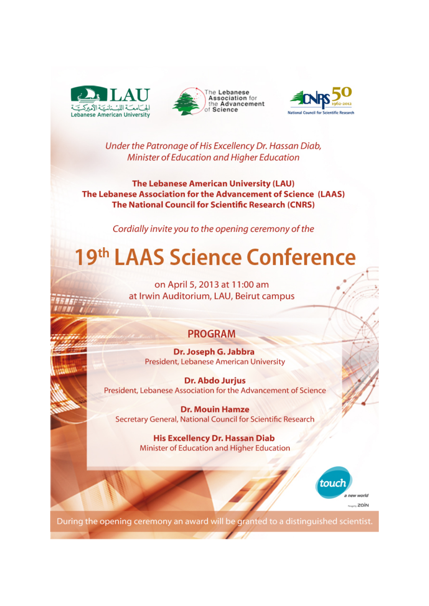





Under the Patronage of His Excellency Dr. Hassan Diab, Minister of Education and Higher Education

**The Lebanese American University (LAU)** The Lebanese Association for the Advancement of Science (LAAS) **The National Council for Scientific Research (CNRS)** 

Cordially invite you to the opening ceremony of the

## 19th LAAS Science Conference

on April 5, 2013 at 11:00 am at Irwin Auditorium, LAU, Beirut campus

## **PROGRAM**

Dr. Joseph G. Jabbra **President, Lebanese American University** 

Dr. Abdo Jurjus President, Lebanese Association for the Advancement of Science

**Dr. Mouin Hamze** Secretary General, National Council for Scientific Research

> **His Excellency Dr. Hassan Diab** Minister of Education and Higher Education



During the opening ceremony an award will be granted to a distinguished scientist.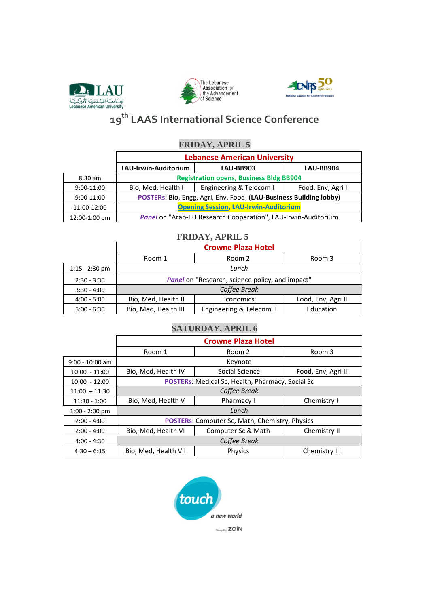





## 19<sup>th</sup> LAAS International Science Conference

## **FRIDAY, APRIL 5**

|               |                                                                    | <b>Lebanese American University</b>                           |           |  |  |  |  |
|---------------|--------------------------------------------------------------------|---------------------------------------------------------------|-----------|--|--|--|--|
|               | LAU-Irwin-Auditorium                                               | <b>LAU-BB903</b>                                              | LAU-BB904 |  |  |  |  |
| $8:30$ am     |                                                                    | <b>Registration opens, Business Bldg BB904</b>                |           |  |  |  |  |
| $9:00-11:00$  | Engineering & Telecom I<br>Bio, Med, Health I<br>Food, Env, Agri I |                                                               |           |  |  |  |  |
| $9:00-11:00$  | POSTERs: Bio, Engg, Agri, Env, Food, (LAU-Business Building lobby) |                                                               |           |  |  |  |  |
| 11:00-12:00   | <b>Opening Session, LAU-Irwin-Auditorium</b>                       |                                                               |           |  |  |  |  |
| 12:00-1:00 pm |                                                                    | Panel on "Arab-EU Research Cooperation", LAU-Irwin-Auditorium |           |  |  |  |  |

## **FRIDAY, APRIL 5**

|                  |                                                        | <b>Crowne Plaza Hotel</b> |           |  |  |  |
|------------------|--------------------------------------------------------|---------------------------|-----------|--|--|--|
|                  | Room 1                                                 | Room 2                    | Room 3    |  |  |  |
| $1:15 - 2:30$ pm |                                                        | Lunch                     |           |  |  |  |
| $2:30 - 3:30$    | Panel on "Research, science policy, and impact"        |                           |           |  |  |  |
| $3:30 - 4:00$    | Coffee Break                                           |                           |           |  |  |  |
| $4:00 - 5:00$    | Bio, Med, Health II<br>Economics<br>Food, Env, Agri II |                           |           |  |  |  |
| $5:00 - 6:30$    | Bio, Med, Health III                                   | Engineering & Telecom II  | Education |  |  |  |

## **SATURDAY, APRIL 6**

|                   |                                                       | <b>Crowne Plaza Hotel</b>                        |                     |  |  |
|-------------------|-------------------------------------------------------|--------------------------------------------------|---------------------|--|--|
|                   | Room 1                                                | Room 2                                           | Room 3              |  |  |
| $9:00 - 10:00$ am |                                                       | Keynote                                          |                     |  |  |
| $10:00 - 11:00$   | Bio, Med, Health IV                                   | Social Science                                   | Food, Env, Agri III |  |  |
| $10:00 - 12:00$   |                                                       | POSTERs: Medical Sc, Health, Pharmacy, Social Sc |                     |  |  |
| $11:00 - 11:30$   |                                                       | Coffee Break                                     |                     |  |  |
| $11:30 - 1:00$    | Bio, Med, Health V                                    | Pharmacy I                                       | Chemistry I         |  |  |
| $1:00 - 2:00$ pm  |                                                       | Lunch                                            |                     |  |  |
| $2:00 - 4:00$     | <b>POSTERs:</b> Computer Sc, Math, Chemistry, Physics |                                                  |                     |  |  |
| $2:00 - 4:00$     | Bio, Med, Health VI                                   | Computer Sc & Math                               | Chemistry II        |  |  |
| $4:00 - 4:30$     |                                                       | Coffee Break                                     |                     |  |  |
| $4:30 - 6:15$     | Bio, Med, Health VII                                  | <b>Physics</b>                                   | Chemistry III       |  |  |

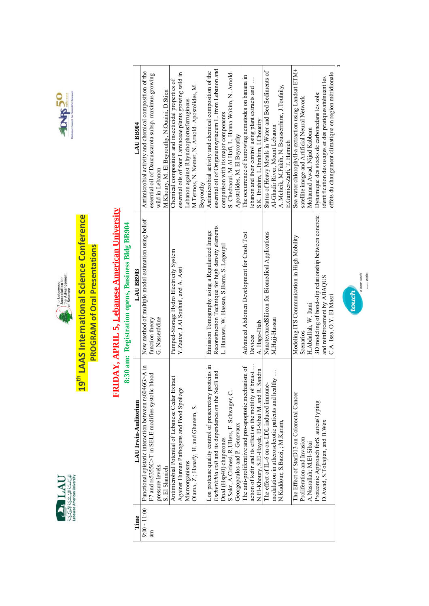





## 19<sup>th</sup> LAAS International Science Conference **PROGRAM of Oral Presentations**

# FRIDAY, APRIL 5, Lebanese American University

8.30 apr. Porietration appre Pusiness RIde RR004

|                                                   | LAU BB904            | Antimicrobial activity and chemical composition of the<br>essential oil of Daucuscarota subsp. maximus growing<br>wild in Lebanon | M. Khoury, M. El Beyrouthy, N. Ouaini, D. Stien | Chemical composition and insecticidal properties of | essential oils of four Lamiaceae plants growing wild in<br>Lebanon against Rhynchophorusferrugineus | M. Termos, N. Nemer, N. Arnold-Apostolides, M.<br>Bevrouthy | Antimicrobial activity and chemical composition of the   | essential oil of Origanumsyriacum L. from Lebanon and | comparison with its major components       | S. Chedraoui, M.Al Hafi, L. Hanna Wakim, N. Amold- | Apostolides, M. El Beyrouthy | The occurrence of burrowing nematodes on banana in    | lebanon and their control using plant extracts and       | S.K. Ibrahim, L.Ibrahim, I.Choueiry                | Status of Heavy Metals in Water and Bed Sediments of | Al-Ghadir River, Mount Lebanon                                  | A. Mcheik, M.Fakih, N. Bousserrhine, J.Toufaily, | E.Garnier-Zarli, T. Hamieh | Sea water chlorophyll-a extraction using Landsat ETM+ | satellite image and Artificial Neural Network | Mohamad Awad, Nijad Kabbara | Dynamique des stocks de carbonedans les sols:          | identification des usages et des pratiquesatténuant les | effets du changement climatique en region méridionale |
|---------------------------------------------------|----------------------|-----------------------------------------------------------------------------------------------------------------------------------|-------------------------------------------------|-----------------------------------------------------|-----------------------------------------------------------------------------------------------------|-------------------------------------------------------------|----------------------------------------------------------|-------------------------------------------------------|--------------------------------------------|----------------------------------------------------|------------------------------|-------------------------------------------------------|----------------------------------------------------------|----------------------------------------------------|------------------------------------------------------|-----------------------------------------------------------------|--------------------------------------------------|----------------------------|-------------------------------------------------------|-----------------------------------------------|-----------------------------|--------------------------------------------------------|---------------------------------------------------------|-------------------------------------------------------|
| 8:30 ami: Registration opens, business bidg bby04 | LAU BB903            | New method of multiple model estimation using belief<br>G. Nasserddine<br>function theory                                         |                                                 | Pumped-Storage Hydro Electricity System             | Y.Zaatar, J.Al Souhail, and A. Assi                                                                 |                                                             | Emission Tomography using a Regularized Image            | Reconstruction Technique for high density elements    | L. Hamawi, W. Hassan, S.Barre, S. Legoupil |                                                    |                              | Advanced Abdomen Development for Crash Test           | Devices                                                  | A. Hage-Diab                                       | NanotexturedSilicon for Biomedical Applications      | M.Hajj-Hassan                                                   |                                                  |                            | Modeling ITS Communication in High Mobility           | Scenarios                                     | H.Abdallah, W. Itani        | 3D modeling of bond-slip relationship between concrete | and reinforcement by ABAQUS                             | C.A. Issa, O.Y. El Masri                              |
|                                                   | LAU Irwin-Auditorium | Functional epistatic interaction between rs6046G>A in<br>blood<br>F7 and rs5355C>T in SELE modifies systolic l<br>pressure levels | S. El Shamieh                                   | Antimicrobial Potential of Lebanese Cedar Extract   | Against Human Pathogens and Food Spoilage<br>Microorganisms                                         | Olama, Z.; Hanafy, H. and Ghanem, S.                        | Lon protease quality control of presecretory proteins in | Escherichia coli and its dependence on the SecB and   | DnaJ (Hsp40) chaperones                    | S.Sakr, A.Cirinesi, R.Ullers, F. Schwager, C.      | Georgopoulos and P. Genevaux | The anti-proliferative and pro-apoptotic mechanism of | action of kefir and its effect on the motility of breast | N.El-Khoury, S.El-Hayek, El-Sibai M. and R. Sandra | The effect of IL-6 on ox-LDL induced immune          | thy $\ldots$<br>modulation in atherosclerotic patients and heal | N.Kaddour; S.Bazzi, ; M.Karam,                   |                            | The Effect of StarD13 on Colorectal Cancer            | Proliferation and Invasion                    | A.Nasrallah; M.El-Sibai     | Proteomic Approach forS. aureusTyping                  | D.Awad, S.Tokajian, and B.Wex                           |                                                       |
|                                                   | Time                 | $9:00 - 11:00$<br>E                                                                                                               |                                                 |                                                     |                                                                                                     |                                                             |                                                          |                                                       |                                            |                                                    |                              |                                                       |                                                          |                                                    |                                                      |                                                                 |                                                  |                            |                                                       |                                               |                             |                                                        |                                                         |                                                       |

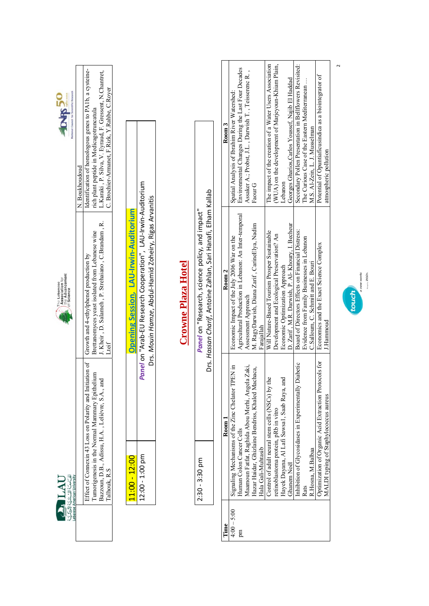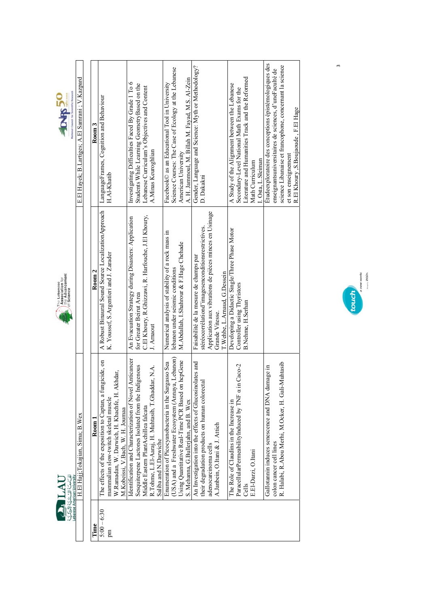



|               | Lebanese American University                                                      |                                                        |                                                         |
|---------------|-----------------------------------------------------------------------------------|--------------------------------------------------------|---------------------------------------------------------|
|               | H.El Hajj;Tokajian, Sima; B.Wex                                                   |                                                        | E.El Hayek; B.Lartiges; A.El Samrani; V.Kazpard         |
|               |                                                                                   |                                                        |                                                         |
| Time          | Room 1                                                                            | Room 2                                                 | $_{\rm Room3}$                                          |
| $5:00 - 6:30$ | The effects of the exposition to Captan, a fungicide, on                          | A Robust Binaural Sound Source Localization Approach   | LanguageFrames, Cognition and Behaviour                 |
| m             | mammalian slow-twitch skeletal muscle                                             | K. Youssef, S.Argentieri and J. Zarader                | H.Al-Khatib                                             |
|               | W.Ramadan, W. Darwich, H. Khachfe, H. Akhdar,<br>M.Kobeissi, V.Bach, W. H. Joumaa |                                                        |                                                         |
|               | Identification and Characterization of Novel Anticancer                           | An Evacuation Strategy during Disasters: Application   | Investigating Difficulties Faced By Grade 1 To 6        |
|               | Sesquiterpene Lactones Isolated from the Indigenous                               | for Greater Beirut Area                                | Students While Learning GeometryBased on the            |
|               | Middle Eastern PlantAchillea falcata                                              | C.El Khoury, R.Ghizzawi, R. Harfouche, J.El Khoury,    | Lebanese Curriculum's Objectives and Content            |
|               | R.Tohme, L.El-Aaraj, H. Muhtasib, T.Ghaddar, N.A.                                 | J. Arnaout                                             | A.Minas Keuroghlian                                     |
|               | Saliba and N.Darwiche                                                             |                                                        |                                                         |
|               | Enumeration of Picocyanobacteria in the Sargasso Sea                              | Numerical analysis of stability of a rock mass in      | Facebook© as an Educational Tool in University          |
|               | (USA) and a Freshwater Ecosystem (Annaya, Lebanon)                                | lebanon under seismic conditions                       | Science Courses: The Case of Ecology at the Lebanese    |
|               | Using Quantitative Real-Time PCR Based on hcpGene                                 | M.Abdallah, I.Shahrour & F.Hage Chehade                | American University                                     |
|               | S. Mehanna, G. Bullerjahn, and B. Wex                                             |                                                        | A. H. Jammoul, M. Billah M. Fayad, M.S. Al-Zein         |
|               | An Investigation into the effects of Glucosinolates and                           | Faisabilité de la mesure de champs par                 | Gender, Language and Science: Myth or Methodology?      |
|               | their degradation products on human colorecta                                     | stéréocorrélationd'imagesenconditionsrestrictives.     | D. Dakakni                                              |
|               | adenocarcinoma cells                                                              | Application aux vibrations de pièces minces en Usinage |                                                         |
|               | A.Janbein, O.Itani & J. Attieh                                                    | Grande Vitesse.                                        |                                                         |
|               |                                                                                   | T.Wehbe, L.Arnaud, G.Dessein                           |                                                         |
|               | The Role of Claudins in the Increase in                                           | Developing a Didactic Single/Three Phase Motor         | A Study of the Alignment between the Lebanese           |
|               | $Caco-2$<br>ParacellularPermeabilityInduced by TNF a in                           | Controller using Thyristors                            | Secondary-Level National Math Exams for the             |
|               | Cells                                                                             | B.Nehme, H.Serhan                                      | Literature and Humanities Track and the Reformed        |
|               | E.El-Darzi, O.Itani                                                               |                                                        | Math Curriculum                                         |
|               |                                                                                   |                                                        | I. Osta, L. Sleiman                                     |
|               | Gallotamin induces senescence and DNA damage in                                   |                                                        | Etudeexploratoire des conceptions épistémologiques des  |
|               | colon cancer cell lines                                                           |                                                        | enseignantsuniversitaires de sciences, d'uneFaculté de  |
|               | R. Halabi, R. Abou Merhi, M. Ocker, H. Gali-Muhtasib                              |                                                        | science Libanaise et francophone, concernant la science |
|               |                                                                                   |                                                        | et son enseignement                                     |
|               |                                                                                   |                                                        | R.El Khoury .S.Boujaoude . F.El Hage                    |



 $\mathfrak{m}$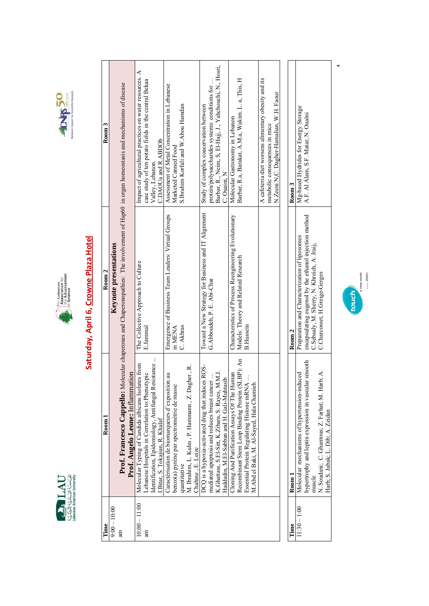





## Saturday, April 6, Crowne Plaza Hotel

| Time            | $_{\rm Room1}$                                                                                                    | Room <sub>2</sub>                                                                                                                                   | Room <sub>3</sub>                                                                                           |
|-----------------|-------------------------------------------------------------------------------------------------------------------|-----------------------------------------------------------------------------------------------------------------------------------------------------|-------------------------------------------------------------------------------------------------------------|
|                 |                                                                                                                   |                                                                                                                                                     |                                                                                                             |
| $9:00 - 10:00$  |                                                                                                                   | Keynote presentations                                                                                                                               |                                                                                                             |
| Я               | Prof. Angelo Leone: Inflammation                                                                                  | <b>Prof. Francesco Cappello:</b> Molecular chaperones and Chaperonopathies: The involvement of Hsp60 in organ homeostasis and mechanisms of disease |                                                                                                             |
| $10:00 - 11:00$ | Molecular Typing of Candida albicans Isolates from                                                                | The Collective Approach to Culture                                                                                                                  | Impact of agricultural practices on water resources. A                                                      |
| am              | ebanese Hospitals in Correlation to: Phenotypic                                                                   | E.Jammal                                                                                                                                            | case study of ten potato fields in the central Bekaa                                                        |
|                 | Identification, Epidemiology, Antifungal Resistance                                                               |                                                                                                                                                     | Valley, Lebanon.                                                                                            |
|                 | Bitar, S. Tokajian, R. Khalaf                                                                                     |                                                                                                                                                     | C.DAOUa and R.ABDOb                                                                                         |
|                 | $\overline{a}$<br>Caractérisation de biomarqueurs d'exposition                                                    | Emergence of Business Team Leaders: Virtual Groups                                                                                                  | Assessment of Metal Concentration in Lebanese                                                               |
|                 | benzo(a) pyrène par spectrométrie de masse                                                                        | in MENA                                                                                                                                             | Marketed Canned Food                                                                                        |
|                 | quantitative                                                                                                      | C. Akhras                                                                                                                                           | S.Ibrahim Korfali and W.Abou Hamdan                                                                         |
|                 | ner, R.<br>M. Ibrahim, L. Kuhn, P. Hammann, Z. Dagh<br>Chahine, E. Leize                                          |                                                                                                                                                     |                                                                                                             |
|                 | ROS-<br>DCQ is a hypoxia-activated drug that induces                                                              | Toward a New Strategy for Business and IT Alignment                                                                                                 | Study of complex coacervation between                                                                       |
|                 |                                                                                                                   |                                                                                                                                                     |                                                                                                             |
|                 | $\overline{M}$ .<br>mediated apoptosis and reduces breast cancer<br>K.Ghattass, S.El-Sitt, K.Zibara, S. Rayes, M. | G.Abboudeh, P. E. Abi-Char                                                                                                                          | Barbar, R., Neim, S, El-Hajj, J., Yahchouchi, N., Hosri,<br>protein/polysaccharides systems: conditions for |
|                 | Haddadin, M.El-Sabban and H. Gali-Muhtasib                                                                        |                                                                                                                                                     | C, Ouaini, N                                                                                                |
|                 | Cloning And Purification Assays Of The Human                                                                      | Characteristics of Process Reengineering Evolutionary                                                                                               | Molecular Gastronomy in Lebanon                                                                             |
|                 | BP): An<br>Recombinant Stem Loop Binding Protein (SI                                                              | Models: Theory and Related Research                                                                                                                 | Barbar, R.a, Barakat, A.M.a, Wakim. L. a, This, H                                                           |
|                 | Essential Protein Regulating Histone mRNA                                                                         | <b>B.Hussein</b>                                                                                                                                    |                                                                                                             |
|                 | M.Abd el Baki, M. Al-Sayed, Hala Chamieh                                                                          |                                                                                                                                                     |                                                                                                             |
|                 |                                                                                                                   |                                                                                                                                                     | A cafeteria diet worsens alimentary obesity and its                                                         |
|                 |                                                                                                                   |                                                                                                                                                     | metabolic consequences in mice                                                                              |
|                 |                                                                                                                   |                                                                                                                                                     | N.Zeeni N,C. Dagher-Hamalian, W.H. Faour                                                                    |
|                 |                                                                                                                   |                                                                                                                                                     |                                                                                                             |
| Time            | Room 1                                                                                                            | Room <sub>2</sub>                                                                                                                                   | Room 3                                                                                                      |
| $11:30 - 1:00$  | Molecular mechanisms of hypertension-induced                                                                      | Preparation and Characterization of liposomes                                                                                                       | Mg-based Hydrides for Energy Storage                                                                        |
|                 | smooth<br>hypertrophy and leptin expression in vascular                                                           | encapsulating eugenol by the ethanol injection method                                                                                               | A.F. Al Alam, S.F. Matar, N. Ouaïni                                                                         |
|                 | muscle                                                                                                            | C.Sebaaly, M. Sherry, N. Khreich, A. Jraij,                                                                                                         |                                                                                                             |
|                 | N. Soudani; C. Ghantous; Z. Farhat; M. Harb; A.                                                                   | C.Charcosset, H.Greige-Gerges                                                                                                                       |                                                                                                             |
|                 | Harb; S. Jabak; L. Dib; A. Zeidan                                                                                 |                                                                                                                                                     |                                                                                                             |



 $\overline{a}$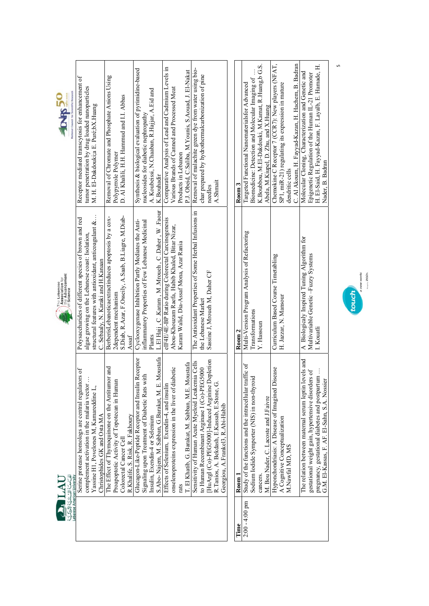



|                  | Lebanese American University                            |                                                            |                                                        |
|------------------|---------------------------------------------------------|------------------------------------------------------------|--------------------------------------------------------|
|                  | Serine protease homologs are central regulators of      | Polysaccharides of different species of brown and red      | Receptor mediated transcytosis for enhancement of      |
|                  | complement activation in the malaria vector             | algae growing on the Lebanese coast: Isolation,            | tumor penetration by drug loaded nanoparticles         |
|                  | Yassine H1, Povelones M, Kamareddine L,                 | structural features with antioxidant, anticoagulant &.     | M. H. El-Dakdouki;a E. Puré;bX.Huang                   |
|                  | Christophides GK and Osta MA                            | C. Sebaaly, N. Karaki and H. Kanaan                        |                                                        |
|                  | The Effect of Thymoquinone on the Antitumor and         | BerberisLebanoticaextractinduces apoptosis by a cox-       | Removal of Chromate and Phosphate Anions Using         |
|                  | Proapoptotic Activity of Topotecan in Human             | 2dependent mechanism                                       | Polypyrrole Polymer                                    |
|                  | Colorectal Cancer Cell                                  | S. Diab, R. Azar, F. Osseily, A. Saab, B. Liagre, M. Diab- | D. Al Khalili, H.H. Hammud and I.I. Abbas              |
|                  | R.Khalife, S. Risk, R. Fakhoury                         | Assat                                                      |                                                        |
|                  | Glucagon-Like-Peptide Receptor and Insulin Receptor     | Cyclooxygenase Inhibition Partly Mediates the Anti-        | Synthesis & biological evaluation of pyrimidine-based  |
|                  | with<br>Signaling upon Treatment of Diabetic Rats       | inflammatory Properties of Few Lebanese Medicinal          | nucleosides for diabetic nephropathy                   |
|                  | Insulin, Exendin-4 or Selenium                          | Plants                                                     | A. Koubeissi, N.Chaaban, R.Hajjar, A.Eid and           |
|                  | S.Abo-Najem, M. Sabban, G.Barakat, M. E. Moustafa       | L.El Hajj, C.Karam, M.Mroueh, C.Daher, W.Faour             | K.Bouhadir                                             |
|                  | Effects of Selenium, Exendin-4, and insulin             | eIF4E/4E-BP Ratio during Colorectal Carcinogenesis         | Comparative Analysis of Lead and Cadmium Levels in     |
|                  | onselenoproteins expression in the liver of diabetic    | Abou-Khouzam Raefa, Habib Khaled, Bitar Nizar,             | Various Brands of Canned and Processed Meat            |
|                  | rats                                                    | Karam Walid, Dia-Assaf Mona, Azar Rania                    | Products in Lebanon                                    |
|                  | L. El Khatib, G. Barakat, M. Sabban, M.E. Moustafa      |                                                            | P.J. Obeid, C.Saliba, M.Younis, S.Aouad, J. El-Nakat   |
|                  | Sensitivity of Human Acute Myeloid Leukemia Cells       | The Antioxidant Properties of Some Herbal Infusions in     | Removal of malachite green dye from water using bio-   |
|                  | to Human Recombinant Arginase I (Co)-PEG5000            | the Lebanese Market                                        | char prepared by hydrothermalcarbonization of pine     |
|                  | [HuArgI (Co)-PEG5000]-Induced Arginine Depletion        | Sassine J, Mroueh M, Daher CF                              | needles                                                |
|                  | R.Tanios, A. Bekdash, E.Kassab, E.Stone, <sup>1</sup>   |                                                            | A.Shmait                                               |
|                  | Georgiou, A.Frankel3, R.Abi-Habib                       |                                                            |                                                        |
|                  |                                                         |                                                            |                                                        |
| Time             | $_{\rm Room}$ 1                                         | Room 2                                                     | $_{\rm Room3}$                                         |
| $2:00 - 4:00$ pm | Study of the functions and the intracellular traffic of | Multi-Version Program Analysis of Refactoring              | Targeted Functional Nanomaterialsfor Advanced          |
|                  | Sodium Iodide Symporter (NIS) in non-thyroid            | Transformations                                            | Biomedicine: Detection and Molecular Imaging of        |
|                  | cancers.                                                | Y. Hassoun                                                 | K. Boubbou, M. El-Dakdouki, M. Kamat, R. Huang, b G.S. |

| Room 1                                                                            | Room 2                                        | Room 3                                                 |
|-----------------------------------------------------------------------------------|-----------------------------------------------|--------------------------------------------------------|
| traffic of<br>$-4.00$ pm $\parallel$ Study of the functions and the intracellular | Multi-Version Program Analysis of Refactoring | Targeted Functional Nanomaterialsfor Advanced          |
| Sodium Iodide Symporter (NIS) in non-thyroid                                      | Transformations                               | Biomedicine: Detection and Molecular Imaging of        |
| cancers.                                                                          | Y. Hassoun                                    | K. Boubbou, M. El-Dakdouki, M. Kamat, R. Huang, b G.S. |
| M. Bou Nader, C. Lacoste and J.Faivre                                             |                                               | Abela, M.Kiupel, D. Zhu, and X.Huang                   |
| Disease<br>Hyponchondriasis: A Disease of Imagined l                              | Curriculum Based Course Timetabling           | Chemokine C Receptor 7 (CCR7): New players (NFAT,      |
| A Cognitive Conceptualization                                                     | H. Jazzar, N. Mansour                         | SP1, miR-21) regulating its expression in mature       |
| M.Nawfal MD, MS                                                                   |                                               | dendritic cells                                        |
|                                                                                   |                                               | C. Al Akoum, H. Fayyad-Kazan, H. Hachem, B. Badran     |
| The relation between maternal serum leptin levels and                             | A Biologicaly Inspired Tuning Algorithm for   | Molecular Cloning, Characterization and Genetic and    |
| gestational weight gain, hypertensive disorders of                                | Multivariable Genetic-Fuzzy Systems           | Epigenetic Regulation of the Human IL-21 Promoter      |
| pregnancy, gestational diabetes and postpartum                                    | I. Kouatli                                    | H. El-Said, H. Fayyad-Kazan, F. Layalb, E. Hamade, H.  |
| G.M. El-Kassas, F. AF. El-Sahn, S.A. Nossier                                      |                                               | Nader, B. Badran                                       |
|                                                                                   |                                               |                                                        |



 $\mathsf{L}$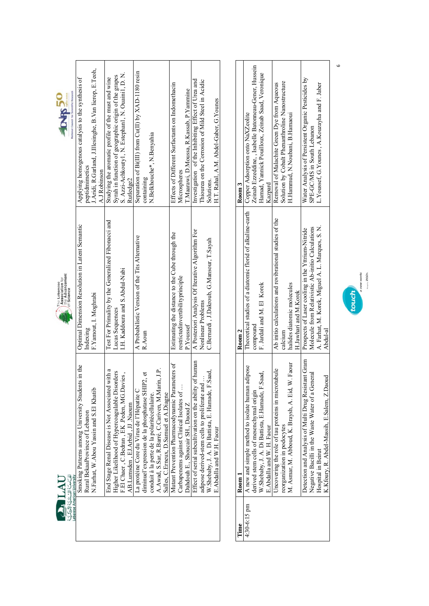



| Lebanese American University                            |                                                     |                                                           |
|---------------------------------------------------------|-----------------------------------------------------|-----------------------------------------------------------|
| ts in the<br>Smoking Patterns among University Student  | Optimal Dimension Resolution in Latent Semantic     | Applying homogenous catalysis to the synthesis of         |
| Rural BekaaProvince of Lebanon                          | Indexing                                            | peptidmimetics                                            |
| N.Farhat, W.Abou Yassin and S.El Khatib                 | F.Yamout, I. Moghrabi                               | J.Aridi, R.Garland, J.Illesinghe, B.Van lierop, E.Teoh,   |
|                                                         |                                                     | A.J Robinson                                              |
| End Stage Renal Disease is Not Associated with a        | Test For Primality by the Generalized Fibonacci and | Studying the aromatic profile of the must and wine        |
| Higher Likelihood of Hypercoagulable Disorders          | Lucas Sequences                                     | Syrah in function of geographic origin of the grapes      |
| F.El Chaer, C.Bedran, EK. Peden, MG.Davies,             | I.H. Kaddoura and S.Abdul-Nabi                      | S. Azzi-Achkouty1, N. Estephan1, N. Ouaini1, D. N.        |
| AB.Lumsden, EJ.Arbid, JJ Naoum                          |                                                     | Rutledge2                                                 |
| La protéine Core du Virus de l'Hépatite C               | A Probabilistic Version of the Tits Alternative     | Separation of $Bi(III)$ from $Cu(II)$ by $XAD-1180$ resin |
| n et<br>diminuel'expression de la phosphatase SHIP      | R.Aoun                                              | containing                                                |
| conduit à la perte de la polaritécellulaire.            |                                                     | N.Belkhouche*, N.Benyahia                                 |
| A.Awad, S.Sar, R.Barré, C.Cariven, M.Marin, J.P.        |                                                     |                                                           |
| Salles, C.Erneux, D.Samuel et A.Diagne                  |                                                     |                                                           |
| Mutant Prevention Pharmacodynamic Parameters of         | Estimating the distance to the Cube through the     | Effects of Different Surfactants on Indomethacin          |
| Carbapenems against Clinical Isolates of                | restrictedinvertibilityprinciple                    | Microspheres                                              |
| Dahdouh E., Shoucair SH., Daoud Z                       | P.Youssef                                           | T. Maarawi, D. Moussa, R. Kassab, P. Yammine              |
| Effect of serial subcultivation on the ability of human | A Posteriori Analysis Of Iterative Algorithm For    | Investigation of the Inhibiting Effect of Urea and        |
| adipose derived-stem cells to proliferate and           | Nonlinear Problems                                  | Thiourea on the Corrosion of Mild Steel in Acidic         |
| W.Shebaby, J. A. Di Battista, E. Hamade, F.Saad,        | C.Bernardi, J.Dakroub, G.Mansour, T.Sayah           | Solutions.                                                |
| E.Abdalla and W.H. Faour                                |                                                     | H.T. Rahal, A.M. Abdel-Gaber, G.Younes                    |
|                                                         |                                                     |                                                           |

| Ц              | Room 1                                              | Room 2                                                                                         | koom 3                                                |
|----------------|-----------------------------------------------------|------------------------------------------------------------------------------------------------|-------------------------------------------------------|
| $4:30-6:15$ pm | A new and simple method to isolate human adipose    | Theoretical studies of a diatomic florid of alkaline-earth   Copper Adsorption onto NaXZeolite |                                                       |
|                | derived stem cells of mesenchymal origin            | compound                                                                                       | Zeinab Ezzeddine, , Isabelle Batonneau-Gener, Hussein |
|                | W. Shebaby, J. A. Di Battista, E.Hamade, F.Saad,    | F. Jardali and M. El Korek                                                                     | Hamad, Yannick Pouilloux, Zeinab Saad, Veronique      |
|                | E.Abdalla and W. H. Faour                           |                                                                                                | Kazpard                                               |
|                | Incovering the role of tau proteins in microtubule  | Ab initio calculations and rovibrational studies of the                                        | Removal of Malachite Green Dye from Aqueous           |
|                | reorganization in podocytes                         | calcium                                                                                        | Solution by Cobalt Phenanthroline Nanostructure       |
|                | M. Asmar, M. Abboud, K. Braysh, A. Eid, W. Faour    | halides diatomic molecules                                                                     | H.Hammud, N.Noubani, B.Hamaoui                        |
|                |                                                     | H.Jawhari and M.Korek                                                                          |                                                       |
|                | Detection and Analysis of Multi Drug Resistant Gram | Prospects of Laser cooling in the Yttrium-Nitride                                              | Water Analysis of Persistent Organic Pesticides by    |
|                | Negative Bacilli in the Waste Water of a General    | Molecule from Relativistic Ab-initio Calculations                                              | SPE-GC/MS in South Lebanon                            |
|                | Hospital in Beirut                                  | A. Farhat, M. Korek, Miguel A. L. Marques, S. N.                                               | L. Youssef, G. Younes, A. Kouzayha and F. Jaber       |
|                | K.Kfoury, R. Abdel-Massih, E.Salem, Z.Daoud         | Abdul-al                                                                                       |                                                       |
|                |                                                     |                                                                                                |                                                       |



 $\circ$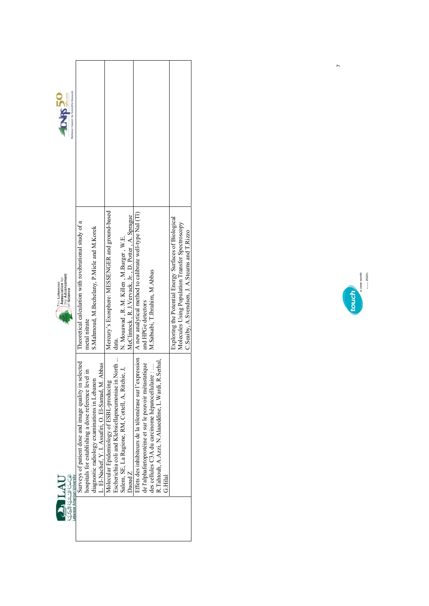



| Mercury's Exosphere: MESSENGER and ground-based<br>A new analytical method to calibrate well-type NaI (Tl)<br>McClintock, R. J.Vervack, Jr., D. Potter, A. Sprague<br>Exploring the Potential Energy Surfaces of Biological<br>Theoretical calculation with rovibrational study of a<br>Molecules Using Population Transfer Spectroscopy<br>S.Mahmoud, M.Bechelany, P.Miele and M.Korek<br>C.Seaiby, A.Svendsen, J. A.Stearns and T.Rizzo<br>N. Mouawad, R. M. Killen, M. Burger, W. E.<br>M. Sabsabi, T. Ibrahim, M. Abbas<br>and HPGe detectors<br>metal nitrate<br>data.<br>Abbas | National Council for Scientific Research |                                                       |                                                      |                                              |                                               |                                          |                                                    |                                                    |                        |                                                          |                                                       |                                                  |                                                         |  |
|--------------------------------------------------------------------------------------------------------------------------------------------------------------------------------------------------------------------------------------------------------------------------------------------------------------------------------------------------------------------------------------------------------------------------------------------------------------------------------------------------------------------------------------------------------------------------------------|------------------------------------------|-------------------------------------------------------|------------------------------------------------------|----------------------------------------------|-----------------------------------------------|------------------------------------------|----------------------------------------------------|----------------------------------------------------|------------------------|----------------------------------------------------------|-------------------------------------------------------|--------------------------------------------------|---------------------------------------------------------|--|
|                                                                                                                                                                                                                                                                                                                                                                                                                                                                                                                                                                                      |                                          |                                                       |                                                      |                                              |                                               |                                          |                                                    |                                                    |                        |                                                          |                                                       |                                                  |                                                         |  |
| Lebanese American University<br>G.Hilal<br>うろうこう                                                                                                                                                                                                                                                                                                                                                                                                                                                                                                                                     |                                          | Surveys of patient dose and image quality in selected | hospitals for establishing a dose reference level in | diagnostic radiology examinations in Lebanon | L. El-Nachef, Y. I. Assafiri, O. El-Samad, M. | Molecular Epidemiology of ESBL-producing | Escherichia coli and Klebsiellapneumoniae in North | Salem, SE, La Ragione, RM, Cottell, A, Ritchie, J, | $\operatorname{DaudZ}$ | Effets des inhibiteurs de la télomérase sur l'expression | de l'alphafœtoprotéine et sur le pouvoir métastatique | des cellules C3A du carcinome hépatocellulaire : | R. Tahtouh, A. Azzi, N. Alaaeddine, L. Wardi, R. Serhal |  |



 $\overline{a}$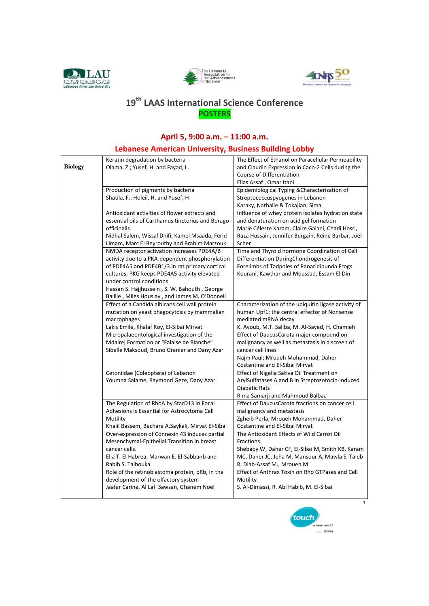





## 19<sup>th</sup> LAAS International Science Conference **POSTERS**

## April 5, 9:00 a.m. - 11:00 a.m.

## Lebanese American University, Business Building Lobby

|                | Keratin degradation by bacteria                                                                | The Effect of Ethanol on Paracellular Permeability                                                  |
|----------------|------------------------------------------------------------------------------------------------|-----------------------------------------------------------------------------------------------------|
| <b>Biology</b> | Olama, Z.; Yusef, H. and Fayad, L.                                                             | and Claudin Expression in Caco-2 Cells during the                                                   |
|                |                                                                                                | Course of Differentiation                                                                           |
|                |                                                                                                | Elias Assaf, Omar Itani                                                                             |
|                | Production of pigments by bacteria                                                             | Epidemiological Typing & Characterization of                                                        |
|                | Shatila, F.; Holeil, H. and Yusef, H                                                           | Streptococcuspyogenes in Lebanon                                                                    |
|                |                                                                                                | Karaky, Nathalie & Tokajian, Sima                                                                   |
|                | Antioxidant activities of flower extracts and                                                  | Influence of whey protein isolates hydration state                                                  |
|                | essential oils of Carthamus tinctorius and Borago                                              | and denaturation on acid gel formation                                                              |
|                | officinalis                                                                                    | Marie Céleste Karam, Claire Gaiani, Chadi Hosri,                                                    |
|                | Nidhal Salem, Wissal Dhifi, Kamel Msaada, Ferid                                                | Raza Hussain, Jennifer Burgain, Reine Barbar, Joel                                                  |
|                | Limam, Marc El Beyrouthy and Brahim Marzouk                                                    | Scher                                                                                               |
|                | NMDA receptor activation increases PDE4A/B                                                     | Time and Thyroid hormone Coordination of Cell                                                       |
|                | activity due to a PKA-dependent phosphorylation                                                | Differentiation DuringChondrogenesis of                                                             |
|                | of PDE4A5 and PDE4B1/3 in rat primary cortical<br>cultures; PKG keeps PDE4A5 activity elevated | Forelimbs of Tadpoles of Ranaridibunda Frogs<br>Kourani, Kawthar and Moussad, Essam El Din          |
|                | under control conditions                                                                       |                                                                                                     |
|                | Hassan S. Hajjhussein, S. W. Bahouth, George                                                   |                                                                                                     |
|                | Baillie, Miles Houslay, and James M. O'Donnell                                                 |                                                                                                     |
|                | Effect of a Candida albicans cell wall protein                                                 | Characterization of the ubiquitin ligase activity of                                                |
|                | mutation on yeast phagocytosis by mammalian                                                    | human Upf1: the central effector of Nonsense                                                        |
|                | macrophages                                                                                    | mediated mRNA decay                                                                                 |
|                | Lakis Emile, Khalaf Roy, El-Sibai Mirvat                                                       | K. Ayoub, M.T. Saliba, M. Al-Sayed, H. Chamieh                                                      |
|                | Micropalaeontological investigation of the                                                     | Effect of DaucusCarota major compound on                                                            |
|                | Mdairej Formation or "Falaise de Blanche"                                                      | malignancy as well as metastasis in a screen of                                                     |
|                | Sibelle Maksoud, Bruno Granier and Dany Azar                                                   | cancer cell lines                                                                                   |
|                |                                                                                                | Najm Paul; Mroueh Mohammad, Daher                                                                   |
|                |                                                                                                | Costantine and El-Sibai Mirvat                                                                      |
|                | Cetoniidae (Coleoptera) of Lebanon                                                             | Effect of Nigella Sativa Oil Treatment on                                                           |
|                | Youmna Salame, Raymond Geze, Dany Azar                                                         | ArylSulfatases A and B in Streptozotocin-induced                                                    |
|                |                                                                                                | <b>Diabetic Rats</b>                                                                                |
|                |                                                                                                | Rima Samarji and Mahmoud Balbaa                                                                     |
|                | The Regulation of RhoA by StarD13 in Focal                                                     | Effect of DaucusCarota fractions on cancer cell                                                     |
|                | Adhesions is Essential for Astrocytoma Cell                                                    | malignancy and metastasis                                                                           |
|                | Motility                                                                                       | Zgheib Perla; Mroueh Mohammad, Daher                                                                |
|                | Khalil Bassem, Bechara A.Saykali, Mirvat El-Sibai                                              | Costantine and El-Sibai Mirvat                                                                      |
|                | Over-expression of Connexin 43 induces partial                                                 | The Antioxidant Effects of Wild Carrot Oil                                                          |
|                | Mesenchymal-Epithelial Transition in breast                                                    | Fractions.                                                                                          |
|                | cancer cells.                                                                                  | Shebaby W, Daher CF, El-Sibai M, Smith KB, Karam<br>MC, Daher JC, Jeha M, Mansour A, Mawla S, Taleb |
|                | Elia T. El Habrea, Marwan E. El-Sabbanb and<br>Rabih S. Talhouka                               | R, Diab-Assaf M., Mroueh M                                                                          |
|                | Role of the retinoblastoma protein, pRb, in the                                                | Effect of Anthrax Toxin on Rho GTPases and Cell                                                     |
|                | development of the olfactory system                                                            | Motility                                                                                            |
|                | Jaafar Carine, Al Lafi Sawsan, Ghanem Noël                                                     | S. Al-Dimassi, R. Abi Habib, M. El-Sibai                                                            |
|                |                                                                                                |                                                                                                     |
|                |                                                                                                | $\mathbf{1}$                                                                                        |

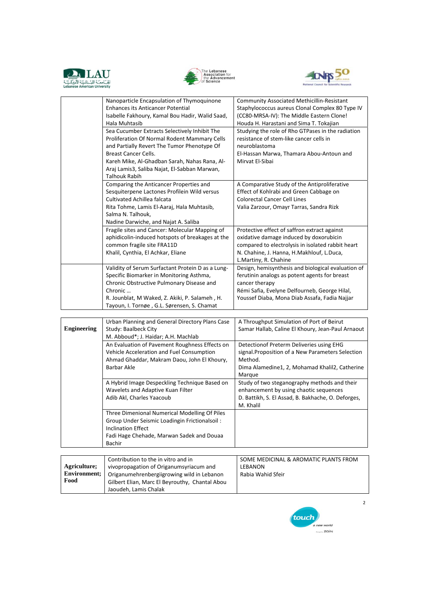





|                    | Nanoparticle Encapsulation of Thymoquinone<br><b>Enhances its Anticancer Potential</b><br>Isabelle Fakhoury, Kamal Bou Hadir, Walid Saad,<br>Hala Muhtasib                                                                                                                                           | <b>Community Associated Methicillin-Resistant</b><br>Staphylococcus aureus Clonal Complex 80 Type IV<br>(CC80-MRSA-IV): The Middle Eastern Clone!<br>Houda H. Harastani and Sima T. Tokajian                            |
|--------------------|------------------------------------------------------------------------------------------------------------------------------------------------------------------------------------------------------------------------------------------------------------------------------------------------------|-------------------------------------------------------------------------------------------------------------------------------------------------------------------------------------------------------------------------|
|                    | Sea Cucumber Extracts Selectively Inhibit The<br>Proliferation Of Normal Rodent Mammary Cells<br>and Partially Revert The Tumor Phenotype Of<br><b>Breast Cancer Cells.</b><br>Kareh Mike, Al-Ghadban Sarah, Nahas Rana, Al-<br>Araj Lamis3, Saliba Najat, El-Sabban Marwan,<br><b>Talhouk Rabih</b> | Studying the role of Rho GTPases in the radiation<br>resistance of stem-like cancer cells in<br>neuroblastoma<br>El-Hassan Marwa, Thamara Abou-Antoun and<br>Mirvat El-Sibai                                            |
|                    | Comparing the Anticancer Properties and<br>Sesquiterpene Lactones Profilein Wild versus<br>Cultivated Achillea falcata<br>Rita Tohme, Lamis El-Aaraj, Hala Muhtasib,<br>Salma N. Talhouk,<br>Nadine Darwiche, and Najat A. Saliba                                                                    | A Comparative Study of the Antiproliferative<br>Effect of Kohlrabi and Green Cabbage on<br><b>Colorectal Cancer Cell Lines</b><br>Valia Zarzour, Omayr Tarras, Sandra Rizk                                              |
|                    | Fragile sites and Cancer: Molecular Mapping of<br>aphidicolin-induced hotspots of breakages at the<br>common fragile site FRA11D<br>Khalil, Cynthia, El Achkar, Eliane                                                                                                                               | Protective effect of saffron extract against<br>oxidative damage induced by doxorubicin<br>compared to electrolysis in isolated rabbit heart<br>N. Chahine, J. Hanna, H.Makhlouf, L.Duca,<br>L.Martiny, R. Chahine      |
|                    | Validity of Serum Surfactant Protein D as a Lung-<br>Specific Biomarker in Monitoring Asthma,<br>Chronic Obstructive Pulmonary Disease and<br>Chronic<br>R. Jounblat, M Waked, Z. Akiki, P. Salameh, H.<br>Tayoun, I. Tornøe, G.L. Sørensen, S. Chamat                                               | Design, hemisynthesis and biological evaluation of<br>ferutinin analogs as potent agents for breast<br>cancer therapy<br>Rémi Safia, Evelyne Delfourneb, George Hilal,<br>Youssef Diaba, Mona Diab Assafa, Fadia Najjar |
|                    |                                                                                                                                                                                                                                                                                                      |                                                                                                                                                                                                                         |
| <b>Engineering</b> | Urban Planning and General Directory Plans Case<br>Study: Baalbeck City<br>M. Abboud*; J. Haidar; A.H. Machlab                                                                                                                                                                                       | A Throughput Simulation of Port of Beirut<br>Samar Hallab, Caline El Khoury, Jean-Paul Arnaout                                                                                                                          |
|                    | An Evaluation of Pavement Roughness Effects on<br>Vehicle Acceleration and Fuel Consumption<br>Ahmad Ghaddar, Makram Daou, John El Khoury,<br>Barbar Akle                                                                                                                                            | Detectionof Preterm Deliveries using EHG<br>signal. Proposition of a New Parameters Selection<br>Method.<br>Dima Alamedine1, 2, Mohamad Khalil2, Catherine<br>Marque                                                    |
|                    | A Hybrid Image Despeckling Technique Based on<br>Wavelets and Adaptive Kuan Filter<br>Adib Akl, Charles Yaacoub                                                                                                                                                                                      | Study of two steganography methods and their<br>enhancement by using chaotic sequences<br>D. Battikh, S. El Assad, B. Bakhache, O. Deforges,<br>M. Khalil                                                               |
|                    | Three Dimenional Numerical Modelling Of Piles<br>Group Under Seismic Loadingin Frictionalsoil:<br><b>Inclination Effect</b><br>Fadi Hage Chehade, Marwan Sadek and Douaa<br>Bachir                                                                                                                   |                                                                                                                                                                                                                         |
|                    |                                                                                                                                                                                                                                                                                                      |                                                                                                                                                                                                                         |
|                    |                                                                                                                                                                                                                                                                                                      |                                                                                                                                                                                                                         |

|                     | Contribution to the in vitro and in            | SOME MEDICINAL & AROMATIC PLANTS FROM |
|---------------------|------------------------------------------------|---------------------------------------|
| Agriculture;        | vivopropagation of Origanumsyriacum and        | LEBANON                               |
| <b>Environment:</b> | Origanumehrenbergiigrowing wild in Lebanon     | Rabia Wahid Sfeir                     |
| Food                | Gilbert Elian, Marc El Beyrouthy, Chantal Abou |                                       |
|                     | Jaoudeh, Lamis Chalak                          |                                       |

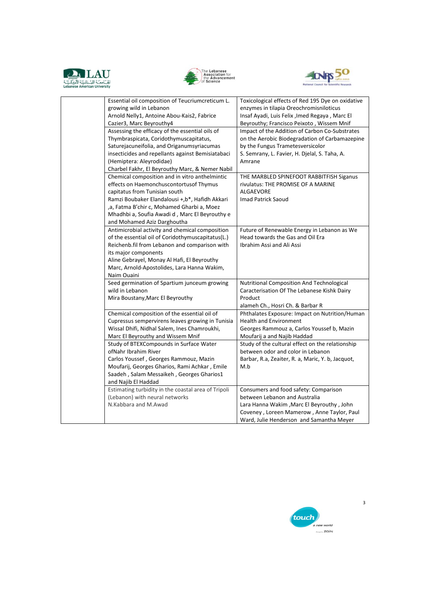





| Essential oil composition of Teucriumcreticum L.<br>growing wild in Lebanon<br>Arnold Nelly1, Antoine Abou-Kais2, Fabrice<br>Cazier3, Marc Beyrouthy4<br>Assessing the efficacy of the essential oils of<br>Thymbraspicata, Coridothymuscapitatus,<br>Saturejacuneifolia, and Origanumsyriacumas<br>insecticides and repellants against Bemisiatabaci<br>(Hemiptera: Aleyrodidae) | Toxicological effects of Red 195 Dye on oxidative<br>enzymes in tilapia Oreochromisniloticus<br>Insaf Ayadi, Luis Felix , Imed Regaya, Marc El<br>Beyrouthy; Francisco Peixoto, Wissem Mnif<br>Impact of the Addition of Carbon Co-Substrates<br>on the Aerobic Biodegradation of Carbamazepine<br>by the Fungus Trametesversicolor<br>S. Semrany, L. Favier, H. Djelal, S. Taha, A.<br>Amrane |
|-----------------------------------------------------------------------------------------------------------------------------------------------------------------------------------------------------------------------------------------------------------------------------------------------------------------------------------------------------------------------------------|------------------------------------------------------------------------------------------------------------------------------------------------------------------------------------------------------------------------------------------------------------------------------------------------------------------------------------------------------------------------------------------------|
| Charbel Fakhr, El Beyrouthy Marc, & Nemer Nabil<br>Chemical composition and in vitro anthelmintic<br>effects on Haemonchuscontortusof Thymus<br>capitatus from Tunisian south<br>Ramzi Boubaker Elandalousi +,b*, Hafidh Akkari<br>,a, Fatma B'chir c, Mohamed Gharbi a, Moez<br>Mhadhbi a, Soufia Awadi d, Marc El Beyrouthy e<br>and Mohamed Aziz Darghoutha                    | THE MARBLED SPINEFOOT RABBITFISH Siganus<br>rivulatus: THE PROMISE OF A MARINE<br><b>ALGAEVORE</b><br>Imad Patrick Saoud                                                                                                                                                                                                                                                                       |
| Antimicrobial activity and chemical composition<br>of the essential oil of Coridothymuscapitatus(L.)<br>Reichenb.fil from Lebanon and comparison with<br>its major components<br>Aline Gebrayel, Monay Al Hafi, El Beyrouthy<br>Marc, Arnold-Apostolides, Lara Hanna Wakim,<br>Naim Ouaini                                                                                        | Future of Renewable Energy in Lebanon as We<br>Head towards the Gas and Oil Era<br>Ibrahim Assi and Ali Assi                                                                                                                                                                                                                                                                                   |
| Seed germination of Spartium junceum growing<br>wild in Lebanon<br>Mira Boustany, Marc El Beyrouthy                                                                                                                                                                                                                                                                               | Nutritional Composition And Technological<br>Caracterisation Of The Lebanese Kishk Dairy<br>Product<br>alameh Ch., Hosri Ch. & Barbar R                                                                                                                                                                                                                                                        |
| Chemical composition of the essential oil of<br>Cupressus sempervirens leaves growing in Tunisia<br>Wissal Dhifi, Nidhal Salem, Ines Chamroukhi,<br>Marc El Beyrouthy and Wissem Mnif                                                                                                                                                                                             | Phthalates Exposure: Impact on Nutrition/Human<br><b>Health and Environment</b><br>Georges Rammouz a, Carlos Youssef b, Mazin<br>Moufarij a and Najib Haddad                                                                                                                                                                                                                                   |
| Study of BTEXCompounds in Surface Water<br>ofNahr Ibrahim River<br>Carlos Youssef, Georges Rammouz, Mazin<br>Moufarij, Georges Gharios, Rami Achkar, Emile<br>Saadeh, Salam Messaikeh, Georges Gharios1<br>and Najib El Haddad                                                                                                                                                    | Study of the cultural effect on the relationship<br>between odor and color in Lebanon<br>Barbar, R.a, Zeaiter, R. a, Maric, Y. b, Jacquot,<br>M.b                                                                                                                                                                                                                                              |
| Estimating turbidity in the coastal area of Tripoli<br>(Lebanon) with neural networks<br>N.Kabbara and M.Awad                                                                                                                                                                                                                                                                     | Consumers and food safety: Comparison<br>between Lebanon and Australia<br>Lara Hanna Wakim , Marc El Beyrouthy, John<br>Coveney, Loreen Mamerow, Anne Taylor, Paul<br>Ward, Julie Henderson and Samantha Meyer                                                                                                                                                                                 |



 $\overline{\mathbf{3}}$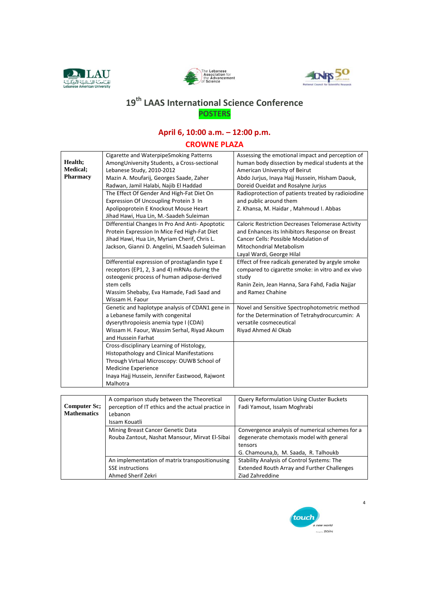





## 19<sup>th</sup> LAAS International Science Conference **POSTERS**

## April 6, 10:00 a.m. - 12:00 p.m.

### **CROWNE PLAZA**

|                     | Cigarette and WaterpipeSmoking Patterns                       | Assessing the emotional impact and perception of         |
|---------------------|---------------------------------------------------------------|----------------------------------------------------------|
| Health;             | AmongUniversity Students, a Cross-sectional                   | human body dissection by medical students at the         |
| Medical;            | Lebanese Study, 2010-2012                                     | American University of Beirut                            |
| Pharmacy            | Mazin A. Moufarij, Georges Saade, Zaher                       | Abdo Jurjus, Inaya Hajj Hussein, Hisham Daouk,           |
|                     | Radwan, Jamil Halabi, Najib El Haddad                         | Doreid Oueidat and Rosalyne Jurius                       |
|                     | The Effect Of Gender And High-Fat Diet On                     | Radioprotection of patients treated by radioiodine       |
|                     | Expression Of Uncoupling Protein 3 In                         | and public around them                                   |
|                     | Apolipoprotein E Knockout Mouse Heart                         | Z. Khansa, M. Haidar, Mahmoud I. Abbas                   |
|                     | Jihad Hawi, Hua Lin, M.-Saadeh Suleiman                       |                                                          |
|                     | Differential Changes In Pro And Anti-Apoptotic                | <b>Caloric Restriction Decreases Telomerase Activity</b> |
|                     | Protein Expression In Mice Fed High-Fat Diet                  | and Enhances its Inhibitors Response on Breast           |
|                     | Jihad Hawi, Hua Lin, Myriam Cherif, Chris L.                  | Cancer Cells: Possible Modulation of                     |
|                     | Jackson, Gianni D. Angelini, M.Saadeh Suleiman                | <b>Mitochondrial Metabolism</b>                          |
|                     |                                                               | Layal Wardi, George Hilal                                |
|                     | Differential expression of prostaglandin type E               | Effect of free radicals generated by argyle smoke        |
|                     | receptors (EP1, 2, 3 and 4) mRNAs during the                  | compared to cigarette smoke: in vitro and ex vivo        |
|                     | osteogenic process of human adipose-derived                   | study                                                    |
|                     | stem cells                                                    | Ranin Zein, Jean Hanna, Sara Fahd, Fadia Najjar          |
|                     | Wassim Shebaby, Eva Hamade, Fadi Saad and                     | and Ramez Chahine                                        |
|                     | Wissam H. Faour                                               |                                                          |
|                     | Genetic and haplotype analysis of CDAN1 gene in               | Novel and Sensitive Spectrophotometric method            |
|                     | a Lebanese family with congenital                             | for the Determination of Tetrahydrocurcumin: A           |
|                     | dyserythropoiesis anemia type I (CDAI)                        | versatile cosmeceutical                                  |
|                     | Wissam H. Faour, Wassim Serhal, Riyad Akoum                   | Riyad Ahmed Al Okab                                      |
|                     | and Hussein Farhat                                            |                                                          |
|                     | Cross-disciplinary Learning of Histology,                     |                                                          |
|                     | <b>Histopathology and Clinical Manifestations</b>             |                                                          |
|                     | Through Virtual Microscopy: OUWB School of                    |                                                          |
|                     | Medicine Experience                                           |                                                          |
|                     | Inaya Hajj Hussein, Jennifer Eastwood, Rajwont                |                                                          |
|                     | Malhotra                                                      |                                                          |
|                     |                                                               |                                                          |
| <b>Computer Sc;</b> | A comparison study between the Theoretical                    | Query Reformulation Using Cluster Buckets                |
| <b>Mathematics</b>  | perception of IT ethics and the actual practice in<br>Lebanon | Fadi Yamout, Issam Moghrabi                              |
|                     | Issam Kouatli                                                 |                                                          |
|                     |                                                               |                                                          |
|                     | Mining Breast Cancer Genetic Data                             | Convergence analysis of numerical schemes for a          |
|                     | Rouba Zantout, Nashat Mansour, Mirvat El-Sibai                | degenerate chemotaxis model with general<br>tensors      |
|                     |                                                               |                                                          |
|                     |                                                               | G. Chamouna,b, M. Saada, R. Talhoukb                     |
|                     | An implementation of matrix transpositionusing                | Stability Analysis of Control Systems: The               |

SSE instructions

Ahmed Sherif Zekri



**Extended Routh Array and Further Challenges** 

Ziad Zahreddine

 $\overline{4}$